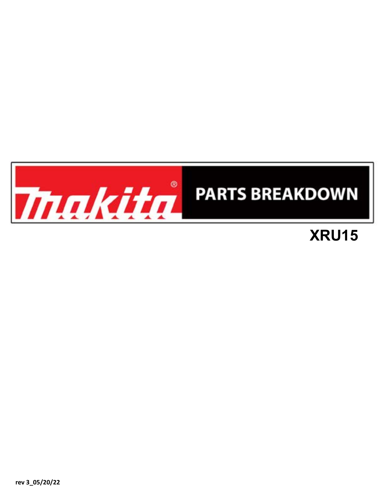

## **XRU15**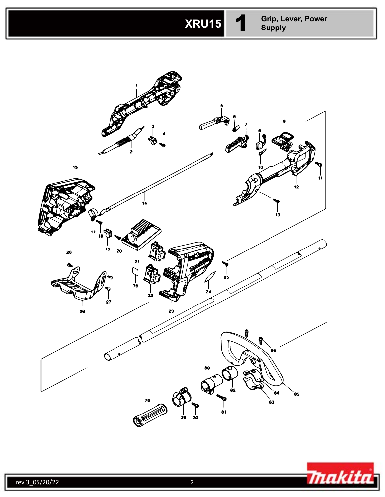

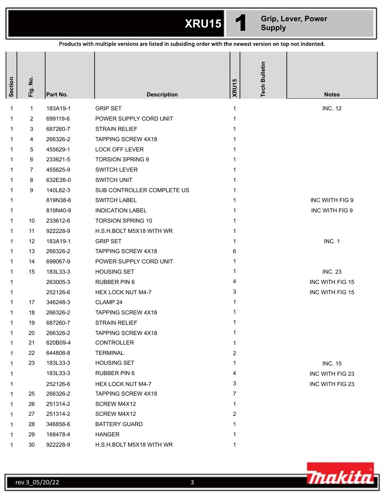**XRU15** 1 **Grip, Lever, Power Supply**

| Products with multiple versions are listed in subsiding order with the newest version on top not indented. |                       |          |                            |       |                      |                 |
|------------------------------------------------------------------------------------------------------------|-----------------------|----------|----------------------------|-------|----------------------|-----------------|
| Section                                                                                                    | $\frac{1}{2}$<br>Fig. | Part No. | <b>Description</b>         | XRU15 | <b>Tech Bulletin</b> | <b>Notes</b>    |
| 1                                                                                                          | $\mathbf{1}$          | 183A19-1 | <b>GRIP SET</b>            | 1     |                      | <b>INC. 12</b>  |
| 1                                                                                                          | 2                     | 699119-6 | POWER SUPPLY CORD UNIT     |       |                      |                 |
| 1                                                                                                          | 3                     | 687260-7 | <b>STRAIN RELIEF</b>       |       |                      |                 |
| 1                                                                                                          | 4                     | 266326-2 | TAPPING SCREW 4X18         |       |                      |                 |
| 1                                                                                                          | 5                     | 455629-1 | LOCK OFF LEVER             |       |                      |                 |
| 1                                                                                                          | 6                     | 233621-5 | <b>TORSION SPRING 9</b>    |       |                      |                 |
| 1                                                                                                          | $\overline{7}$        | 455625-9 | <b>SWITCH LEVER</b>        |       |                      |                 |
| 1                                                                                                          | 8                     | 632E26-0 | SWITCH UNIT                |       |                      |                 |
| 1                                                                                                          | 9                     | 140L82-3 | SUB CONTROLLER COMPLETE US |       |                      |                 |
| 1                                                                                                          |                       | 819N38-6 | <b>SWITCH LABEL</b>        | 1     |                      | INC WIITH FIG 9 |
| 1                                                                                                          |                       | 819N40-9 | <b>INDICATION LABEL</b>    |       |                      | INC WITH FIG 9  |
| 1                                                                                                          | 10                    | 233612-6 | <b>TORSION SPRING 10</b>   |       |                      |                 |
| 1                                                                                                          | 11                    | 922228-9 | H.S.H.BOLT M5X18 WITH WR   |       |                      |                 |
| 1                                                                                                          | 12                    | 183A19-1 | <b>GRIP SET</b>            | 1     |                      | <b>INC. 1</b>   |
| 1                                                                                                          | 13                    | 266326-2 | TAPPING SCREW 4X18         | 6     |                      |                 |
| 1                                                                                                          | 14                    | 699067-9 | POWER SUPPLY CORD UNIT     |       |                      |                 |
| 1                                                                                                          | 15                    | 183L33-3 | <b>HOUSING SET</b>         | 1     |                      | <b>INC. 23</b>  |
| 1                                                                                                          |                       | 263005-3 | RUBBER PIN 6               | 4     |                      | INC WITH FIG 15 |
| 1                                                                                                          |                       | 252126-6 | HEX LOCK NUT M4-7          | 3     |                      | INC WITH FIG 15 |
| 1                                                                                                          | 17                    | 346248-3 | CLAMP 24                   |       |                      |                 |
| 1                                                                                                          | 18                    | 266326-2 | TAPPING SCREW 4X18         |       |                      |                 |
| $\mathbf{1}$                                                                                               | 19                    | 687260-7 | STRAIN RELIEF              | 1     |                      |                 |
| 1                                                                                                          | 20                    | 266326-2 | <b>TAPPING SCREW 4X18</b>  |       |                      |                 |
|                                                                                                            | 21                    | 620B09-4 | <b>CONTROLLER</b>          | 1     |                      |                 |
| 1                                                                                                          | 22                    | 644808-8 | <b>TERMINAL</b>            | 2     |                      |                 |
| 1                                                                                                          | 23                    | 183L33-3 | <b>HOUSING SET</b>         | 1     |                      | <b>INC. 15</b>  |
| 1                                                                                                          |                       | 183L33-3 | RUBBER PIN 6               | 4     |                      | INC WITH FIG 23 |
| 1                                                                                                          |                       | 252126-6 | <b>HEX LOCK NUT M4-7</b>   | 3     |                      | INC WITH FIG 23 |
|                                                                                                            | 25                    | 266326-2 | <b>TAPPING SCREW 4X18</b>  | 7     |                      |                 |
|                                                                                                            | 26                    | 251314-2 | SCREW M4X12                | 1     |                      |                 |
| 1                                                                                                          | 27                    | 251314-2 | SCREW M4X12                | 2     |                      |                 |
|                                                                                                            | 28                    | 346858-6 | <b>BATTERY GUARD</b>       |       |                      |                 |
|                                                                                                            | 29                    | 168478-4 | <b>HANGER</b>              |       |                      |                 |
|                                                                                                            | 30                    | 922228-9 | H.S.H.BOLT M5X18 WITH WR   | 1     |                      |                 |

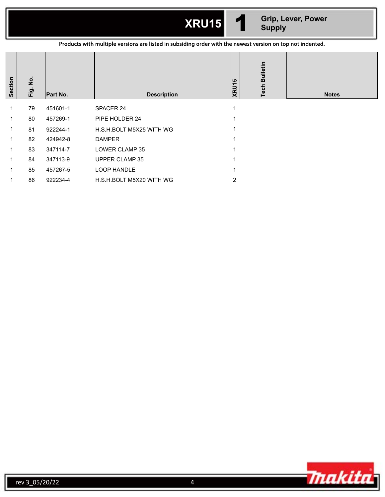| <b>XRU15</b> |  |
|--------------|--|
|              |  |

**XRU15** 1 **Grip, Lever, Power Supply**

Products with multiple versions are listed in subsiding order with the newest version on top not indented.

| Section     | $\frac{1}{2}$<br>Fig. | Part No. | <b>Description</b>       | <b>XRU15</b> | <b>Tech Bulletin</b> | <b>Notes</b> |
|-------------|-----------------------|----------|--------------------------|--------------|----------------------|--------------|
| 1           | 79                    | 451601-1 | SPACER 24                |              |                      |              |
| 1           | 80                    | 457269-1 | PIPE HOLDER 24           |              |                      |              |
| $\mathbf 1$ | 81                    | 922244-1 | H.S.H.BOLT M5X25 WITH WG |              |                      |              |
| 1.          | 82                    | 424942-8 | <b>DAMPER</b>            |              |                      |              |
| 1           | 83                    | 347114-7 | LOWER CLAMP 35           |              |                      |              |
|             | 84                    | 347113-9 | UPPER CLAMP 35           |              |                      |              |
| 1           | 85                    | 457267-5 | <b>LOOP HANDLE</b>       |              |                      |              |
|             | 86                    | 922234-4 | H.S.H.BOLT M5X20 WITH WG | 2            |                      |              |

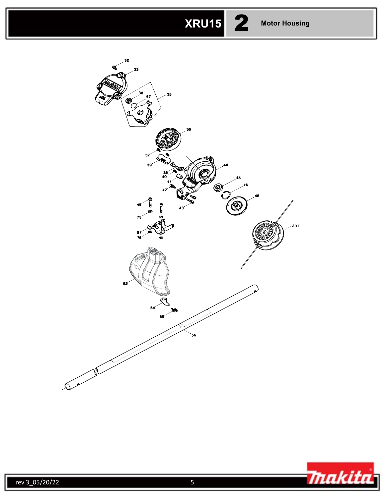# **XRU15** 2